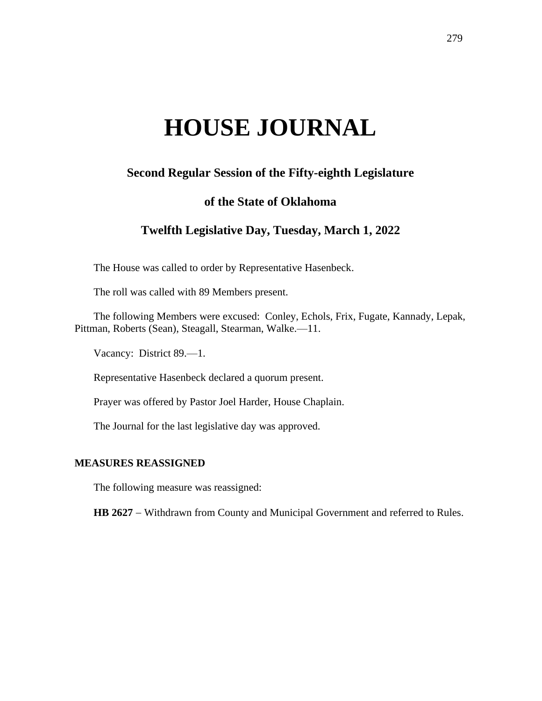# **HOUSE JOURNAL**

# **Second Regular Session of the Fifty-eighth Legislature**

## **of the State of Oklahoma**

# **Twelfth Legislative Day, Tuesday, March 1, 2022**

The House was called to order by Representative Hasenbeck.

The roll was called with 89 Members present.

The following Members were excused: Conley, Echols, Frix, Fugate, Kannady, Lepak, Pittman, Roberts (Sean), Steagall, Stearman, Walke.—11.

Vacancy: District 89.—1.

Representative Hasenbeck declared a quorum present.

Prayer was offered by Pastor Joel Harder, House Chaplain.

The Journal for the last legislative day was approved.

#### **MEASURES REASSIGNED**

The following measure was reassigned:

HB 2627 − Withdrawn from County and Municipal Government and referred to Rules.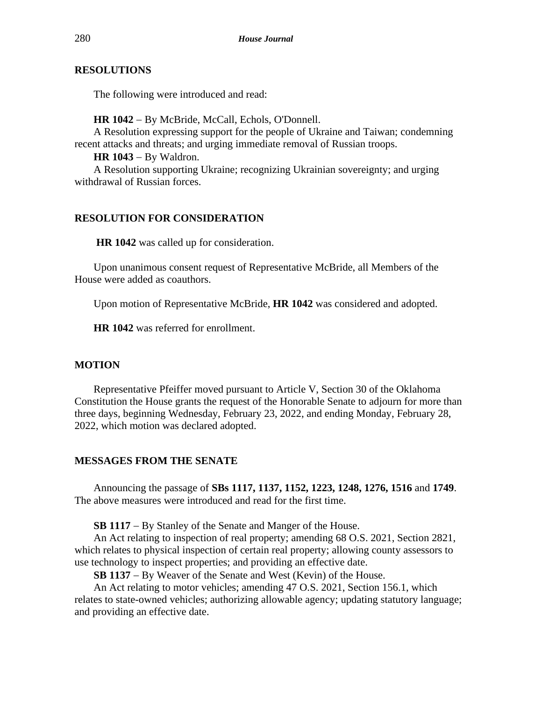#### **RESOLUTIONS**

The following were introduced and read:

**HR 1042** − By McBride, McCall, Echols, O'Donnell.

A Resolution expressing support for the people of Ukraine and Taiwan; condemning recent attacks and threats; and urging immediate removal of Russian troops.

**HR 1043** − By Waldron.

A Resolution supporting Ukraine; recognizing Ukrainian sovereignty; and urging withdrawal of Russian forces.

### **RESOLUTION FOR CONSIDERATION**

**HR 1042** was called up for consideration.

Upon unanimous consent request of Representative McBride, all Members of the House were added as coauthors.

Upon motion of Representative McBride, **HR 1042** was considered and adopted.

**HR 1042** was referred for enrollment.

#### **MOTION**

Representative Pfeiffer moved pursuant to Article V, Section 30 of the Oklahoma Constitution the House grants the request of the Honorable Senate to adjourn for more than three days, beginning Wednesday, February 23, 2022, and ending Monday, February 28, 2022, which motion was declared adopted.

#### **MESSAGES FROM THE SENATE**

Announcing the passage of **SBs 1117, 1137, 1152, 1223, 1248, 1276, 1516** and **1749**. The above measures were introduced and read for the first time.

**SB 1117** − By Stanley of the Senate and Manger of the House.

An Act relating to inspection of real property; amending 68 O.S. 2021, Section 2821, which relates to physical inspection of certain real property; allowing county assessors to use technology to inspect properties; and providing an effective date.

**SB 1137** − By Weaver of the Senate and West (Kevin) of the House.

An Act relating to motor vehicles; amending 47 O.S. 2021, Section 156.1, which relates to state-owned vehicles; authorizing allowable agency; updating statutory language; and providing an effective date.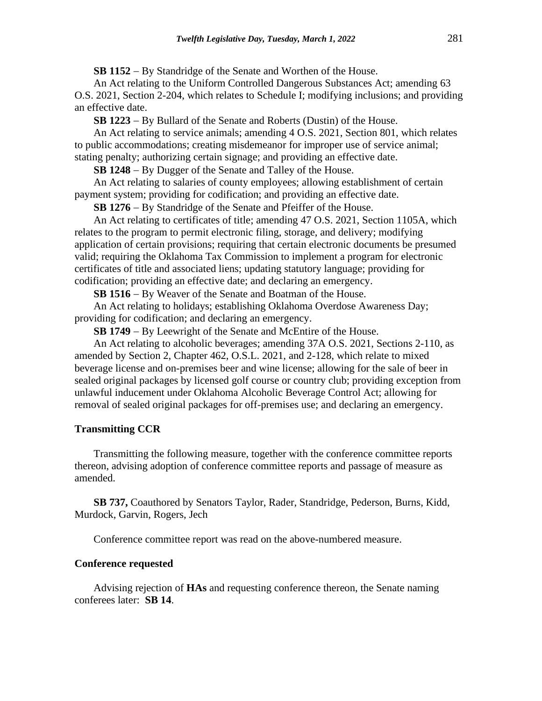**SB 1152** − By Standridge of the Senate and Worthen of the House.

An Act relating to the Uniform Controlled Dangerous Substances Act; amending 63 O.S. 2021, Section 2-204, which relates to Schedule I; modifying inclusions; and providing an effective date.

**SB 1223** − By Bullard of the Senate and Roberts (Dustin) of the House.

An Act relating to service animals; amending 4 O.S. 2021, Section 801, which relates to public accommodations; creating misdemeanor for improper use of service animal; stating penalty; authorizing certain signage; and providing an effective date.

**SB 1248** − By Dugger of the Senate and Talley of the House.

An Act relating to salaries of county employees; allowing establishment of certain payment system; providing for codification; and providing an effective date.

**SB 1276** − By Standridge of the Senate and Pfeiffer of the House.

An Act relating to certificates of title; amending 47 O.S. 2021, Section 1105A, which relates to the program to permit electronic filing, storage, and delivery; modifying application of certain provisions; requiring that certain electronic documents be presumed valid; requiring the Oklahoma Tax Commission to implement a program for electronic certificates of title and associated liens; updating statutory language; providing for codification; providing an effective date; and declaring an emergency.

**SB 1516** − By Weaver of the Senate and Boatman of the House.

An Act relating to holidays; establishing Oklahoma Overdose Awareness Day; providing for codification; and declaring an emergency.

**SB 1749** − By Leewright of the Senate and McEntire of the House.

An Act relating to alcoholic beverages; amending 37A O.S. 2021, Sections 2-110, as amended by Section 2, Chapter 462, O.S.L. 2021, and 2-128, which relate to mixed beverage license and on-premises beer and wine license; allowing for the sale of beer in sealed original packages by licensed golf course or country club; providing exception from unlawful inducement under Oklahoma Alcoholic Beverage Control Act; allowing for removal of sealed original packages for off-premises use; and declaring an emergency.

#### **Transmitting CCR**

Transmitting the following measure, together with the conference committee reports thereon, advising adoption of conference committee reports and passage of measure as amended.

**SB 737,** Coauthored by Senators Taylor, Rader, Standridge, Pederson, Burns, Kidd, Murdock, Garvin, Rogers, Jech

Conference committee report was read on the above-numbered measure.

#### **Conference requested**

Advising rejection of **HAs** and requesting conference thereon, the Senate naming conferees later: **SB 14**.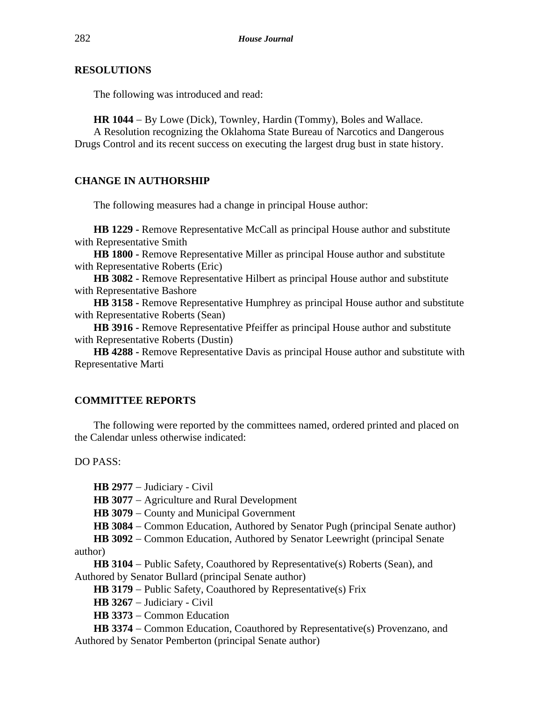#### **RESOLUTIONS**

The following was introduced and read:

**HR 1044** − By Lowe (Dick), Townley, Hardin (Tommy), Boles and Wallace.

A Resolution recognizing the Oklahoma State Bureau of Narcotics and Dangerous Drugs Control and its recent success on executing the largest drug bust in state history.

### **CHANGE IN AUTHORSHIP**

The following measures had a change in principal House author:

**HB 1229 -** Remove Representative McCall as principal House author and substitute with Representative Smith

**HB 1800 -** Remove Representative Miller as principal House author and substitute with Representative Roberts (Eric)

**HB 3082 -** Remove Representative Hilbert as principal House author and substitute with Representative Bashore

**HB 3158 -** Remove Representative Humphrey as principal House author and substitute with Representative Roberts (Sean)

**HB 3916 -** Remove Representative Pfeiffer as principal House author and substitute with Representative Roberts (Dustin)

**HB 4288 -** Remove Representative Davis as principal House author and substitute with Representative Marti

#### **COMMITTEE REPORTS**

The following were reported by the committees named, ordered printed and placed on the Calendar unless otherwise indicated:

DO PASS:

**HB 2977** − Judiciary - Civil

**HB 3077** − Agriculture and Rural Development

**HB 3079** − County and Municipal Government

**HB 3084** − Common Education, Authored by Senator Pugh (principal Senate author)

**HB 3092** − Common Education, Authored by Senator Leewright (principal Senate author)

**HB 3104** − Public Safety, Coauthored by Representative(s) Roberts (Sean), and Authored by Senator Bullard (principal Senate author)

**HB 3179** − Public Safety, Coauthored by Representative(s) Frix

**HB 3267** − Judiciary - Civil

**HB 3373** − Common Education

**HB 3374** − Common Education, Coauthored by Representative(s) Provenzano, and Authored by Senator Pemberton (principal Senate author)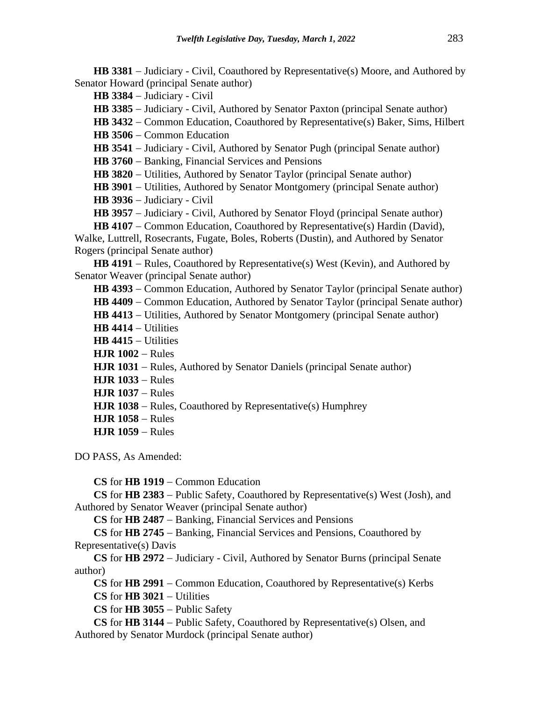**HB 3381** − Judiciary - Civil, Coauthored by Representative(s) Moore, and Authored by Senator Howard (principal Senate author)

**HB 3384** − Judiciary - Civil

**HB 3385** − Judiciary - Civil, Authored by Senator Paxton (principal Senate author)

**HB 3432** − Common Education, Coauthored by Representative(s) Baker, Sims, Hilbert

**HB 3506** − Common Education

**HB 3541** − Judiciary - Civil, Authored by Senator Pugh (principal Senate author)

**HB 3760** − Banking, Financial Services and Pensions

**HB 3820** − Utilities, Authored by Senator Taylor (principal Senate author)

**HB 3901** − Utilities, Authored by Senator Montgomery (principal Senate author)

**HB 3936** − Judiciary - Civil

**HB 3957** − Judiciary - Civil, Authored by Senator Floyd (principal Senate author)

**HB 4107** − Common Education, Coauthored by Representative(s) Hardin (David),

Walke, Luttrell, Rosecrants, Fugate, Boles, Roberts (Dustin), and Authored by Senator Rogers (principal Senate author)

**HB 4191** − Rules, Coauthored by Representative(s) West (Kevin), and Authored by Senator Weaver (principal Senate author)

**HB 4393** − Common Education, Authored by Senator Taylor (principal Senate author)

HB 4409 – Common Education, Authored by Senator Taylor (principal Senate author)

**HB 4413** − Utilities, Authored by Senator Montgomery (principal Senate author)

**HB 4414** − Utilities

**HB 4415** − Utilities

**HJR 1002** − Rules

**HJR 1031** − Rules, Authored by Senator Daniels (principal Senate author)

**HJR 1033** − Rules

**HJR 1037** − Rules

**HJR 1038** − Rules, Coauthored by Representative(s) Humphrey

- **HJR 1058** − Rules
- **HJR 1059** − Rules

DO PASS, As Amended:

**CS** for **HB 1919** − Common Education

**CS** for **HB 2383** − Public Safety, Coauthored by Representative(s) West (Josh), and Authored by Senator Weaver (principal Senate author)

**CS** for **HB 2487** − Banking, Financial Services and Pensions

**CS** for **HB 2745** − Banking, Financial Services and Pensions, Coauthored by Representative(s) Davis

**CS** for **HB 2972** − Judiciary - Civil, Authored by Senator Burns (principal Senate author)

**CS** for **HB 2991** − Common Education, Coauthored by Representative(s) Kerbs **CS** for **HB 3021** − Utilities

**CS** for **HB 3055** − Public Safety

**CS** for **HB 3144** − Public Safety, Coauthored by Representative(s) Olsen, and Authored by Senator Murdock (principal Senate author)